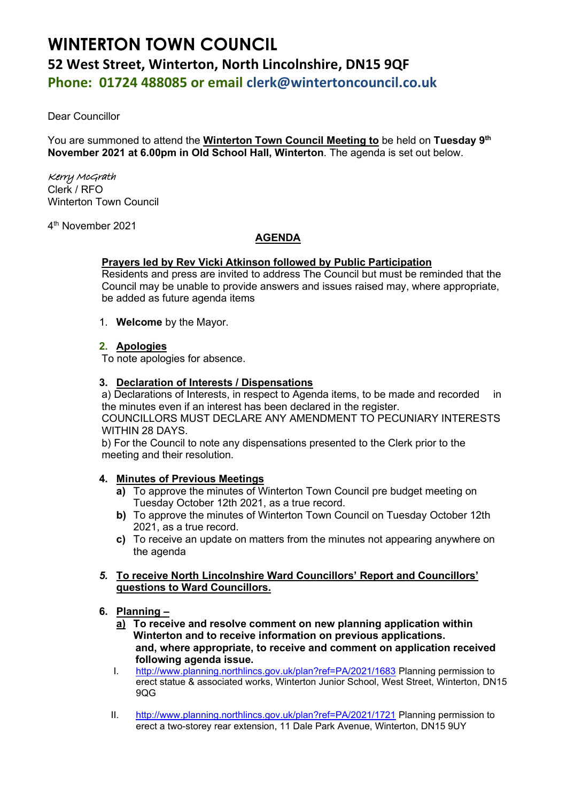# **WINTERTON TOWN COUNCIL 52 West Street, Winterton, North Lincolnshire, DN15 9QF Phone: 01724 488085 or email clerk@wintertoncouncil.co.uk**

Dear Councillor

You are summoned to attend the **Winterton Town Council Meeting to** be held on **Tuesday 9 th November 2021 at 6.00pm in Old School Hall, Winterton**. The agenda is set out below.

# Kerry McGrath

Clerk / RFO Winterton Town Council

4 th November 2021

# **AGENDA**

# **Prayers led by Rev Vicki Atkinson followed by Public Participation**

Residents and press are invited to address The Council but must be reminded that the Council may be unable to provide answers and issues raised may, where appropriate, be added as future agenda items

1. **Welcome** by the Mayor.

## **2. Apologies**

To note apologies for absence.

## **3. Declaration of Interests / Dispensations**

a) Declarations of Interests, in respect to Agenda items, to be made and recorded in the minutes even if an interest has been declared in the register. COUNCILLORS MUST DECLARE ANY AMENDMENT TO PECUNIARY INTERESTS WITHIN 28 DAYS.

b) For the Council to note any dispensations presented to the Clerk prior to the meeting and their resolution.

## **4. Minutes of Previous Meetings**

- **a)** To approve the minutes of Winterton Town Council pre budget meeting on Tuesday October 12th 2021, as a true record.
- **b)** To approve the minutes of Winterton Town Council on Tuesday October 12th 2021, as a true record.
- **c)** To receive an update on matters from the minutes not appearing anywhere on the agenda

## *5.* **To receive North Lincolnshire Ward Councillors' Report and Councillors' questions to Ward Councillors.**

## **6. Planning –**

- **a) To receive and resolve comment on new planning application within Winterton and to receive information on previous applications. and, where appropriate, to receive and comment on application received following agenda issue.**
- I. [http://www.planning.northlincs.gov.uk/plan?ref=PA/2021/1683](https://gbr01.safelinks.protection.outlook.com/?url=http%3A%2F%2Fwww.planning.northlincs.gov.uk%2Fplan%3Fref%3DPA%2F2021%2F1683&data=04%7C01%7Crfo%40wintertoncouncil.co.uk%7C0af0d4f610894ff8970908d995457b1a%7C1901833ec75843e2a83efb7032ea34cb%7C0%7C0%7C637704947909216050%7CUnknown%7CTWFpbGZsb3d8eyJWIjoiMC4wLjAwMDAiLCJQIjoiV2luMzIiLCJBTiI6Ik1haWwiLCJXVCI6Mn0%3D%7C1000&sdata=GXUmX1J8N%2FLhgE6Fp0m63Fv3hdAqU%2FbWfsAgsG5h078%3D&reserved=0) Planning permission to erect statue & associated works, Winterton Junior School, West Street, Winterton, DN15 9QG
- II. [http://www.planning.northlincs.gov.uk/plan?ref=PA/2021/1721](https://gbr01.safelinks.protection.outlook.com/?url=http%3A%2F%2Fwww.planning.northlincs.gov.uk%2Fplan%3Fref%3DPA%2F2021%2F1721&data=04%7C01%7Crfo%40wintertoncouncil.co.uk%7C9f09cd2461fa41d23e7b08d992e3772a%7C1901833ec75843e2a83efb7032ea34cb%7C0%7C0%7C637702327911704314%7CUnknown%7CTWFpbGZsb3d8eyJWIjoiMC4wLjAwMDAiLCJQIjoiV2luMzIiLCJBTiI6Ik1haWwiLCJXVCI6Mn0%3D%7C1000&sdata=L84eCyvmbNhUK8Dy3ZYKXBEbq743OtNvZWKa06WhyNc%3D&reserved=0) Planning permission to erect a two-storey rear extension, 11 Dale Park Avenue, Winterton, DN15 9UY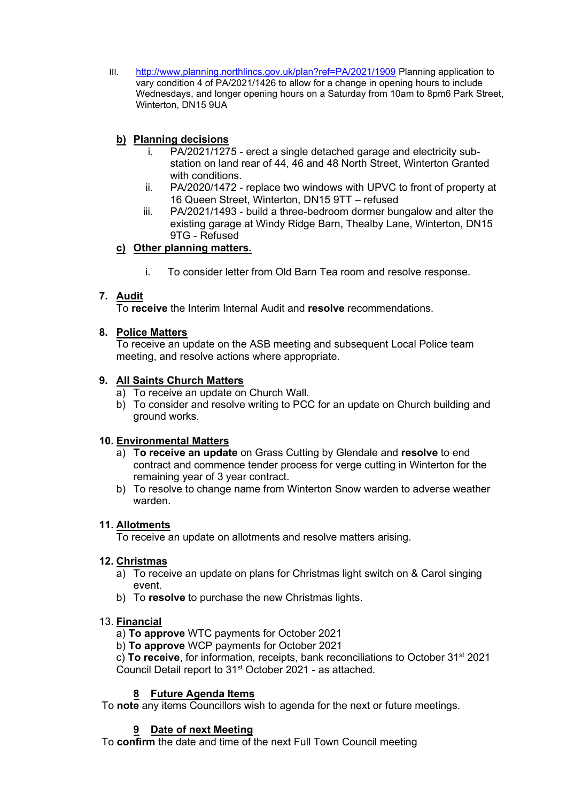III. [http://www.planning.northlincs.gov.uk/plan?ref=PA/2021/1909](https://gbr01.safelinks.protection.outlook.com/?url=http%3A%2F%2Fwww.planning.northlincs.gov.uk%2Fplan%3Fref%3DPA%2F2021%2F1909&data=04%7C01%7Crfo%40wintertoncouncil.co.uk%7C65f1cfd1554747bc0f4c08d99de2f95b%7C1901833ec75843e2a83efb7032ea34cb%7C0%7C0%7C637714420432058915%7CUnknown%7CTWFpbGZsb3d8eyJWIjoiMC4wLjAwMDAiLCJQIjoiV2luMzIiLCJBTiI6Ik1haWwiLCJXVCI6Mn0%3D%7C1000&sdata=A2ZmnsqGfwFYkp%2F3gVTIVJ%2BkEeCmBaJzfmd6WYtlDco%3D&reserved=0) Planning application to vary condition 4 of PA/2021/1426 to allow for a change in opening hours to include Wednesdays, and longer opening hours on a Saturday from 10am to 8pm6 Park Street, Winterton, DN15 9UA

# **b) Planning decisions**

- i. PA/2021/1275 erect a single detached garage and electricity substation on land rear of 44, 46 and 48 North Street, Winterton Granted with conditions.
- ii. PA/2020/1472 replace two windows with UPVC to front of property at 16 Queen Street, Winterton, DN15 9TT – refused
- iii. PA/2021/1493 build a three-bedroom dormer bungalow and alter the existing garage at Windy Ridge Barn, Thealby Lane, Winterton, DN15 9TG - Refused

# **c) Other planning matters.**

i. To consider letter from Old Barn Tea room and resolve response.

# **7. Audit**

To **receive** the Interim Internal Audit and **resolve** recommendations.

## **8. Police Matters**

To receive an update on the ASB meeting and subsequent Local Police team meeting, and resolve actions where appropriate.

## **9. All Saints Church Matters**

- a) To receive an update on Church Wall.
- b) To consider and resolve writing to PCC for an update on Church building and ground works.

## **10. Environmental Matters**

- a) **To receive an update** on Grass Cutting by Glendale and **resolve** to end contract and commence tender process for verge cutting in Winterton for the remaining year of 3 year contract.
- b) To resolve to change name from Winterton Snow warden to adverse weather warden.

## **11. Allotments**

To receive an update on allotments and resolve matters arising.

## **12. Christmas**

- a) To receive an update on plans for Christmas light switch on & Carol singing event.
- b) To **resolve** to purchase the new Christmas lights.

## 13. **Financial**

a) **To approve** WTC payments for October 2021

b) **To approve** WCP payments for October 2021

c) **To receive**, for information, receipts, bank reconciliations to October 31st 2021 Council Detail report to 31<sup>st</sup> October 2021 - as attached.

# **8 Future Agenda Items**

To **note** any items Councillors wish to agenda for the next or future meetings.

# **9 Date of next Meeting**

To **confirm** the date and time of the next Full Town Council meeting